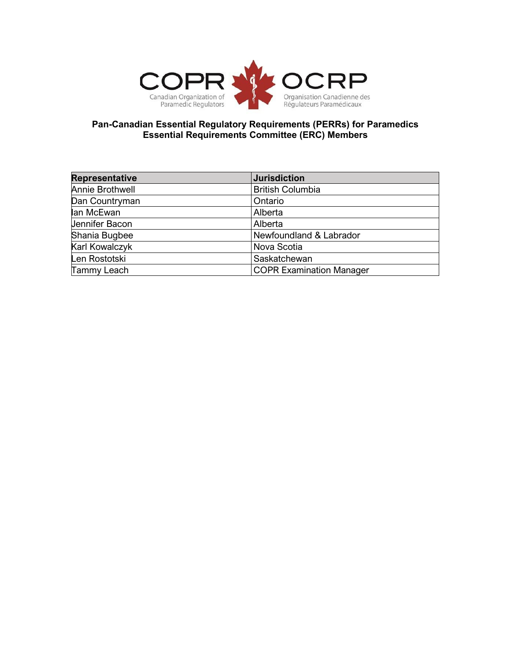

## **Pan-Canadian Essential Regulatory Requirements (PERRs) for Paramedics Essential Requirements Committee (ERC) Members**

| <b>Representative</b> | <b>Jurisdiction</b>             |
|-----------------------|---------------------------------|
| Annie Brothwell       | <b>British Columbia</b>         |
| Dan Countryman        | Ontario                         |
| lan McEwan            | Alberta                         |
| <b>Jennifer Bacon</b> | Alberta                         |
| Shania Bugbee         | Newfoundland & Labrador         |
| Karl Kowalczyk        | Nova Scotia                     |
| Len Rostotski         | Saskatchewan                    |
| Tammy Leach           | <b>COPR Examination Manager</b> |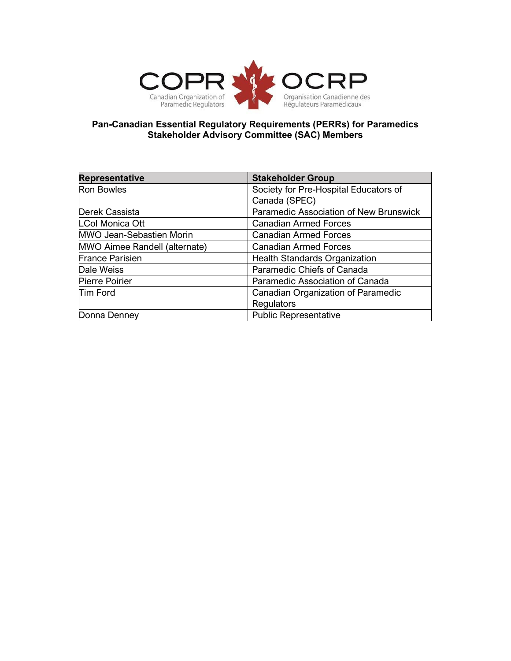

## **Pan-Canadian Essential Regulatory Requirements (PERRs) for Paramedics Stakeholder Advisory Committee (SAC) Members**

| <b>Representative</b>         | <b>Stakeholder Group</b>               |
|-------------------------------|----------------------------------------|
| <b>Ron Bowles</b>             | Society for Pre-Hospital Educators of  |
|                               | Canada (SPEC)                          |
| Derek Cassista                | Paramedic Association of New Brunswick |
| <b>LCol Monica Ott</b>        | <b>Canadian Armed Forces</b>           |
| MWO Jean-Sebastien Morin      | <b>Canadian Armed Forces</b>           |
| MWO Aimee Randell (alternate) | <b>Canadian Armed Forces</b>           |
| <b>France Parisien</b>        | <b>Health Standards Organization</b>   |
| Dale Weiss                    | Paramedic Chiefs of Canada             |
| <b>Pierre Poirier</b>         | Paramedic Association of Canada        |
| <b>Tim Ford</b>               | Canadian Organization of Paramedic     |
|                               | <b>Regulators</b>                      |
| Donna Denney                  | <b>Public Representative</b>           |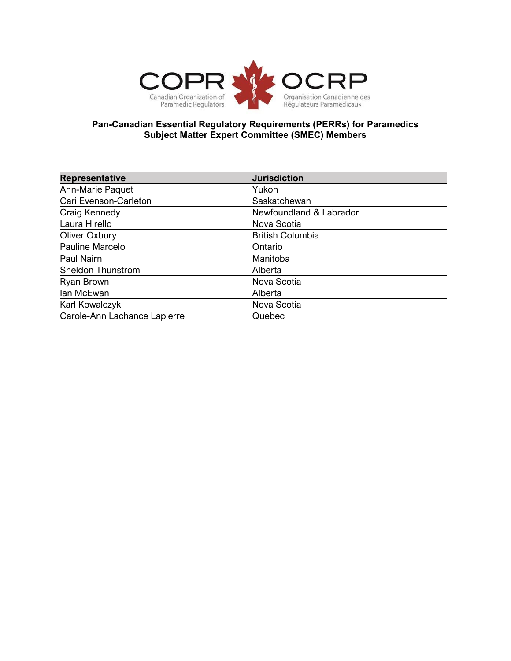

## **Pan-Canadian Essential Regulatory Requirements (PERRs) for Paramedics Subject Matter Expert Committee (SMEC) Members**

| <b>Representative</b>        | <b>Jurisdiction</b>     |
|------------------------------|-------------------------|
| Ann-Marie Paquet             | Yukon                   |
| Cari Evenson-Carleton        | Saskatchewan            |
| Craig Kennedy                | Newfoundland & Labrador |
| Laura Hirello                | Nova Scotia             |
| Oliver Oxbury                | <b>British Columbia</b> |
| Pauline Marcelo              | Ontario                 |
| Paul Nairn                   | Manitoba                |
| <b>Sheldon Thunstrom</b>     | Alberta                 |
| Ryan Brown                   | Nova Scotia             |
| lan McEwan                   | Alberta                 |
| Karl Kowalczyk               | Nova Scotia             |
| Carole-Ann Lachance Lapierre | Quebec                  |